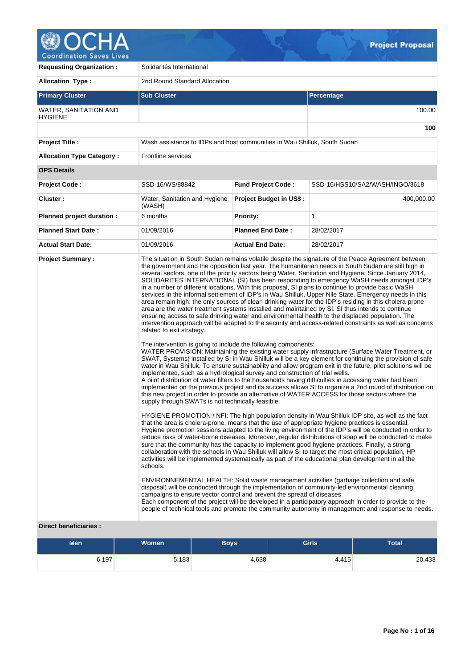

**Requesting Organization : Solidarités International** Allocation Type : 2nd Round Standard Allocation **Primary Cluster Sub Cluster Sub Cluster** Sub Cluster Sub Cluster Sub Cluster Sub Cluster Sub Cluster Sub Cluster WATER, SANITATION AND **HYGIENE** 100.00 **100 Project Title :** Wash assistance to IDPs and host communities in Wau Shilluk, South Sudan **Allocation Type Category :** Frontline services **OPS Details Project Code :** SSD-16/WS/88842 **Fund Project Code :** SSD-16/HSS10/SA2/WASH/INGO/3618 **Cluster :** Water, Sanitation and Hygiene (WASH) **Project Budget in US\$ : 400,000.00 Planned project duration :** 6 months **Priority:** 1 **Planned Start Date :** 01/09/2016 **Planned End Date :** 28/02/2017 **Actual Start Date:** 01/09/2016 **Actual End Date:** 28/02/2017 **Project Summary :** The situation in South Sudan remains volatile despite the signature of the Peace Agreement between the government and the opposition last year. The humanitarian needs in South Sudan are still high in several sectors, one of the priority sectors being Water, Sanitation and Hygiene. Since January 2014, SOLIDARITES INTERNATIONAL (SI) has been responding to emergency WaSH needs amongst IDP's in a number of different locations. With this proposal, SI plans to continue to provide basic WaSH services in the informal settlement of IDP's in Wau Shilluk, Upper Nile State. Emergency needs in this area remain high: the only sources of clean drinking water for the IDP's residing in this cholera-prone area are the water treatment systems installed and maintained by SI. SI thus intends to continue ensuring access to safe drinking water and environmental health to the displaced population. The intervention approach will be adapted to the security and access-related constraints as well as concerns related to exit strategy. The intervention is going to include the following components: WATER PROVISION: Maintaining the existing water supply infrastructure (Surface Water Treatment, or SWAT, Systems) installed by SI in Wau Shilluk will be a key element for continuing the provision of safe water in Wau Shilluk. To ensure sustainability and allow program exit in the future, pilot solutions will be implemented, such as a hydrological survey and construction of trial wells. A pilot distribution of water filters to the households having difficulties in accessing water had been implemented on the previous project and its success allows SI to organize a 2nd round of distribution on this new project in order to provide an alternative of WATER ACCESS for those sectors where the supply through SWATs is not technically feasible. HYGIENE PROMOTION / NFI: The high population density in Wau Shilluk IDP site, as well as the fact that the area is cholera-prone, means that the use of appropriate hygiene practices is essential. Hygiene promotion sessions adapted to the living environment of the IDP's will be conducted in order to reduce risks of water-borne diseases. Moreover, regular distributions of soap will be conducted to make sure that the community has the capacity to implement good hygiene practices. Finally, a strong collaboration with the schools in Wau Shilluk will allow SI to target the most critical population, HP activities will be implemented systematically as part of the educational plan development in all the schools. ENVIRONNEMENTAL HEALTH: Solid waste management activities (garbage collection and safe disposal) will be conducted through the implementation of community-led environmental cleaning campaigns to ensure vector control and prevent the spread of diseases. Each component of the project will be developed in a participatory approach in order to provide to the people of technical tools and promote the community autonomy in management and response to needs.

#### **Direct beneficiaries :**

| <b>Men</b> | <b>Women</b> | <b>Boys</b> | <b>Girls</b> | <b>Total</b> |
|------------|--------------|-------------|--------------|--------------|
| 6,197      | 5,183        | 4,638       | 4,415        | 20,433       |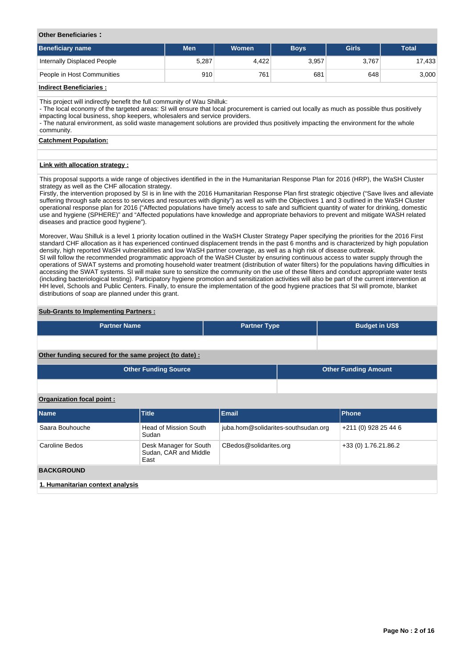## **Other Beneficiaries :**

| Beneficiary name            | Men   | Women | <b>Boys</b> | Girls | <b>Total</b> |
|-----------------------------|-------|-------|-------------|-------|--------------|
| Internally Displaced People | 5,287 | 4.422 | 3,957       | 3,767 | 17,433       |
| People in Host Communities  | 910   | 761   | 681         | 648   | 3,000        |

# **Indirect Beneficiaries :**

This project will indirectly benefit the full community of Wau Shilluk:

- The local economy of the targeted areas: SI will ensure that local procurement is carried out locally as much as possible thus positively impacting local business, shop keepers, wholesalers and service providers.

- The natural environment, as solid waste management solutions are provided thus positively impacting the environment for the whole community.

## **Catchment Population:**

## **Link with allocation strategy :**

This proposal supports a wide range of objectives identified in the in the Humanitarian Response Plan for 2016 (HRP), the WaSH Cluster strategy as well as the CHF allocation strategy.

Firstly, the intervention proposed by SI is in line with the 2016 Humanitarian Response Plan first strategic objective ("Save lives and alleviate suffering through safe access to services and resources with dignity") as well as with the Objectives 1 and 3 outlined in the WaSH Cluster operational response plan for 2016 ("Affected populations have timely access to safe and sufficient quantity of water for drinking, domestic use and hygiene (SPHERE)" and "Affected populations have knowledge and appropriate behaviors to prevent and mitigate WASH related diseases and practice good hygiene").

Moreover, Wau Shilluk is a level 1 priority location outlined in the WaSH Cluster Strategy Paper specifying the priorities for the 2016 First standard CHF allocation as it has experienced continued displacement trends in the past 6 months and is characterized by high population density, high reported WaSH vulnerabilities and low WaSH partner coverage, as well as a high risk of disease outbreak. SI will follow the recommended programmatic approach of the WaSH Cluster by ensuring continuous access to water supply through the operations of SWAT systems and promoting household water treatment (distribution of water filters) for the populations having difficulties in accessing the SWAT systems. SI will make sure to sensitize the community on the use of these filters and conduct appropriate water tests (including bacteriological testing). Participatory hygiene promotion and sensitization activities will also be part of the current intervention at HH level, Schools and Public Centers. Finally, to ensure the implementation of the good hygiene practices that SI will promote, blanket distributions of soap are planned under this grant.

# **Sub-Grants to Implementing Partners :**

| <b>Partner Name</b>                                   | <b>Partner Type</b> | <b>Budget in US\$</b> |
|-------------------------------------------------------|---------------------|-----------------------|
|                                                       |                     |                       |
| Other funding secured for the same project (to date): |                     |                       |

| <b>Other Funding Source</b> | <b>Other Funding Amount</b> |
|-----------------------------|-----------------------------|
|                             |                             |

# **Organization focal point :**

| <b>Name</b>                      | <b>Title</b>                                            | <b>Email</b>                        | <b>Phone</b>         |  |  |  |  |  |  |  |
|----------------------------------|---------------------------------------------------------|-------------------------------------|----------------------|--|--|--|--|--|--|--|
| Saara Bouhouche                  | Head of Mission South<br>Sudan                          | juba.hom@solidarites-southsudan.org | +211 (0) 928 25 44 6 |  |  |  |  |  |  |  |
| Caroline Bedos                   | Desk Manager for South<br>Sudan, CAR and Middle<br>East | CBedos@solidarites.org              | +33 (0) 1.76.21.86.2 |  |  |  |  |  |  |  |
| <b>BACKGROUND</b>                |                                                         |                                     |                      |  |  |  |  |  |  |  |
| 1. Humanitarian context analysis |                                                         |                                     |                      |  |  |  |  |  |  |  |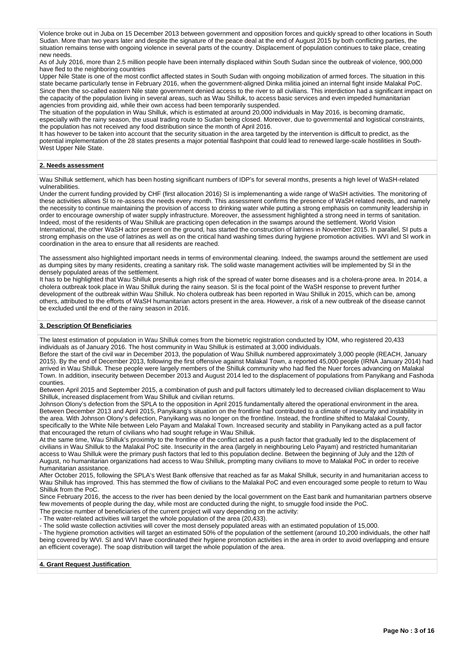Violence broke out in Juba on 15 December 2013 between government and opposition forces and quickly spread to other locations in South Sudan. More than two years later and despite the signature of the peace deal at the end of August 2015 by both conflicting parties, the situation remains tense with ongoing violence in several parts of the country. Displacement of population continues to take place, creating new needs.

As of July 2016, more than 2.5 million people have been internally displaced within South Sudan since the outbreak of violence, 900,000 have fled to the neighboring countries

Upper Nile State is one of the most conflict affected states in South Sudan with ongoing mobilization of armed forces. The situation in this state became particularly tense in February 2016, when the government-aligned Dinka militia joined an internal fight inside Malakal PoC. Since then the so-called eastern Nile state government denied access to the river to all civilians. This interdiction had a significant impact on the capacity of the population living in several areas, such as Wau Shilluk, to access basic services and even impeded humanitarian agencies from providing aid, while their own access had been temporarily suspended.

The situation of the population in Wau Shilluk, which is estimated at around 20,000 individuals in May 2016, is becoming dramatic, especially with the rainy season, the usual trading route to Sudan being closed. Moreover, due to governmental and logistical constraints, the population has not received any food distribution since the month of April 2016.

It has however to be taken into account that the security situation in the area targeted by the intervention is difficult to predict, as the potential implementation of the 28 states presents a major potential flashpoint that could lead to renewed large-scale hostilities in South-West Upper Nile State.

# **2. Needs assessment**

Wau Shilluk settlement, which has been hosting significant numbers of IDP's for several months, presents a high level of WaSH-related vulnerabilities.

Under the current funding provided by CHF (first allocation 2016) SI is implemenanting a wide range of WaSH activities. The monitoring of these activities allows SI to re-assess the needs every month. This assessment confirms the presence of WaSH related needs, and namely the necessity to continue maintaining the provision of access to drinking water while putting a strong emphasis on community leadership in order to encourage ownership of water supply infrastructure. Moreover, the assessment highlighted a strong need in terms of sanitation. Indeed, most of the residents of Wau Shilluk are practicing open defecation in the swamps around the settlement. World Vision International, the other WaSH actor present on the ground, has started the construction of latrines in November 2015. In parallel, SI puts a strong emphasis on the use of latrines as well as on the critical hand washing times during hygiene promotion activities. WVI and SI work in coordination in the area to ensure that all residents are reached.

The assessment also highlighted important needs in terms of environmental cleaning. Indeed, the swamps around the settlement are used as dumping sites by many residents, creating a sanitary risk. The solid waste management activities will be implemented by SI in the densely populated areas of the settlement.

It has to be highlighted that Wau Shilluk presents a high risk of the spread of water borne diseases and is a cholera-prone area. In 2014, a cholera outbreak took place in Wau Shilluk during the rainy season. SI is the focal point of the WaSH response to prevent further development of the outbreak within Wau Shilluk. No cholera outbreak has been reported in Wau Shilluk in 2015, which can be, among others, attributed to the efforts of WaSH humanitarian actors present in the area. However, a risk of a new outbreak of the disease cannot be excluded until the end of the rainy season in 2016.

# **3. Description Of Beneficiaries**

The latest estimation of population in Wau Shilluk comes from the biometric registration conducted by IOM, who registered 20,433 individuals as of January 2016. The host community in Wau Shilluk is estimated at 3,000 individuals.

Before the start of the civil war in December 2013, the population of Wau Shilluk numbered approximately 3,000 people (REACH, January 2015). By the end of December 2013, following the first offensive against Malakal Town, a reported 45,000 people (IRNA January 2014) had arrived in Wau Shilluk. These people were largely members of the Shilluk community who had fled the Nuer forces advancing on Malakal Town. In addition, insecurity between December 2013 and August 2014 led to the displacement of populations from Panyikang and Fashoda counties.

Between April 2015 and September 2015, a combination of push and pull factors ultimately led to decreased civilian displacement to Wau Shilluk, increased displacement from Wau Shilluk and civilian returns.

Johnson Olony's defection from the SPLA to the opposition in April 2015 fundamentally altered the operational environment in the area. Between December 2013 and April 2015, Panyikang's situation on the frontline had contributed to a climate of insecurity and instability in the area. With Johnson Olony's defection, Panyikang was no longer on the frontline. Instead, the frontline shifted to Malakal County, specifically to the White Nile between Lelo Payam and Malakal Town. Increased security and stability in Panyikang acted as a pull factor that encouraged the return of civilians who had sought refuge in Wau Shilluk.

At the same time, Wau Shilluk's proximity to the frontline of the conflict acted as a push factor that gradually led to the displacement of civilians in Wau Shilluk to the Malakal PoC site. Insecurity in the area (largely in neighbouring Lelo Payam) and restricted humanitarian access to Wau Shilluk were the primary push factors that led to this population decline. Between the beginning of July and the 12th of August, no humanitarian organizations had access to Wau Shilluk, prompting many civilians to move to Malakal PoC in order to receive humanitarian assistance.

After October 2015, following the SPLA's West Bank offensive that reached as far as Makal Shilluk, security in and humanitarian access to Wau Shilluk has improved. This has stemmed the flow of civilians to the Malakal PoC and even encouraged some people to return to Wau Shilluk from the PoC.

Since February 2016, the access to the river has been denied by the local government on the East bank and humanitarian partners observe few movements of people during the day, while most are conducted during the night, to smuggle food inside the PoC.

The precise number of beneficiaries of the current project will vary depending on the activity: - The water-related activities will target the whole population of the area (20,433).

- The solid waste collection activities will cover the most densely populated areas with an estimated population of 15,000.

- The hygiene promotion activities will target an estimated 50% of the population of the settlement (around 10,200 individuals, the other half being covered by WVI. SI and WVI have coordinated their hygiene promotion activities in the area in order to avoid overlapping and ensure an efficient coverage). The soap distribution will target the whole population of the area.

## **4. Grant Request Justification**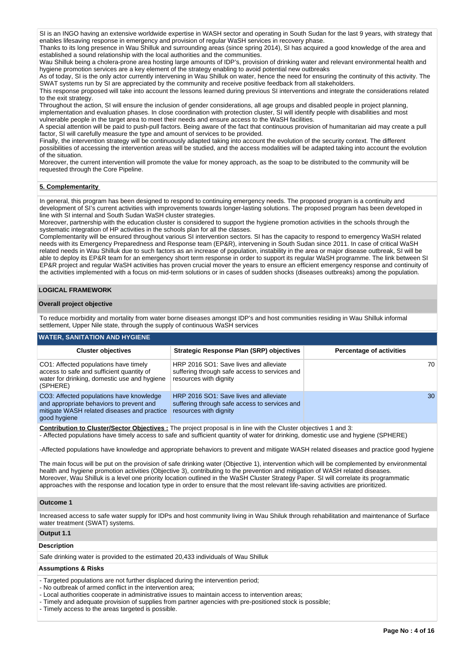SI is an INGO having an extensive worldwide expertise in WASH sector and operating in South Sudan for the last 9 years, with strategy that enables lifesaving response in emergency and provision of regular WaSH services in recovery phase.

Thanks to its long presence in Wau Shilluk and surrounding areas (since spring 2014), SI has acquired a good knowledge of the area and established a sound relationship with the local authorities and the communities.

Wau Shilluk being a cholera-prone area hosting large amounts of IDP's, provision of drinking water and relevant environmental health and hygiene promotion services are a key element of the strategy enabling to avoid potential new outbreaks

As of today, SI is the only actor currently intervening in Wau Shilluk on water, hence the need for ensuring the continuity of this activity. The SWAT systems run by SI are appreciated by the community and receive positive feedback from all stakeholders.

This response proposed will take into account the lessons learned during previous SI interventions and integrate the considerations related to the exit strategy.

Throughout the action, SI will ensure the inclusion of gender considerations, all age groups and disabled people in project planning, implementation and evaluation phases. In close coordination with protection cluster, SI will identify people with disabilities and most vulnerable people in the target area to meet their needs and ensure access to the WaSH facilities.

A special attention will be paid to push-pull factors. Being aware of the fact that continuous provision of humanitarian aid may create a pull factor, SI will carefully measure the type and amount of services to be provided.

Finally, the intervention strategy will be continuously adapted taking into account the evolution of the security context. The different possibilities of accessing the intervention areas will be studied, and the access modalities will be adapted taking into account the evolution of the situation.

Moreover, the current intervention will promote the value for money approach, as the soap to be distributed to the community will be requested through the Core Pipeline.

# **5. Complementarity**

In general, this program has been designed to respond to continuing emergency needs. The proposed program is a continuity and development of SI's current activities with improvements towards longer-lasting solutions. The proposed program has been developed in line with SI internal and South Sudan WaSH cluster strategies.

Moreover, partnership with the education cluster is considered to support the hygiene promotion activities in the schools through the systematic integration of HP activities in the schools plan for all the classes.

Complementarity will be ensured throughout various SI intervention sectors. SI has the capacity to respond to emergency WaSH related needs with its Emergency Preparedness and Response team (EP&R), intervening in South Sudan since 2011. In case of critical WaSH related needs in Wau Shilluk due to such factors as an increase of population, instability in the area or major disease outbreak, SI will be able to deploy its EP&R team for an emergency short term response in order to support its regular WaSH programme. The link between SI EP&R project and regular WaSH activities has proven crucial mover the years to ensure an efficient emergency response and continuity of the activities implemented with a focus on mid-term solutions or in cases of sudden shocks (diseases outbreaks) among the population.

# **LOGICAL FRAMEWORK**

## **Overall project objective**

To reduce morbidity and mortality from water borne diseases amongst IDP's and host communities residing in Wau Shilluk informal settlement, Upper Nile state, through the supply of continuous WaSH services

# **WATER, SANITATION AND HYGIENE**

| <b>Cluster objectives</b>                                                                                                                           | <b>Strategic Response Plan (SRP) objectives</b>                                                                   | <b>Percentage of activities</b> |
|-----------------------------------------------------------------------------------------------------------------------------------------------------|-------------------------------------------------------------------------------------------------------------------|---------------------------------|
| CO1: Affected populations have timely<br>access to safe and sufficient quantity of<br>water for drinking, domestic use and hygiene<br>(SPHERE)      | HRP 2016 SO1: Save lives and alleviate<br>suffering through safe access to services and<br>resources with dignity | 70                              |
| CO3: Affected populations have knowledge<br>and appropriate behaviors to prevent and<br>mitigate WASH related diseases and practice<br>good hygiene | HRP 2016 SO1: Save lives and alleviate<br>suffering through safe access to services and<br>resources with dignity | 30                              |

**Contribution to Cluster/Sector Objectives :** The project proposal is in line with the Cluster objectives 1 and 3:

- Affected populations have timely access to safe and sufficient quantity of water for drinking, domestic use and hygiene (SPHERE)

-Affected populations have knowledge and appropriate behaviors to prevent and mitigate WASH related diseases and practice good hygiene

The main focus will be put on the provision of safe drinking water (Objective 1), intervention which will be complemented by environmental health and hygiene promotion activities (Objective 3), contributing to the prevention and mitigation of WASH related diseases. Moreover, Wau Shilluk is a level one priority location outlined in the WaSH Cluster Strategy Paper. SI will correlate its programmatic approaches with the response and location type in order to ensure that the most relevant life-saving activities are prioritized.

## **Outcome 1**

Increased access to safe water supply for IDPs and host community living in Wau Shiluk through rehabilitation and maintenance of Surface water treatment (SWAT) systems.

## **Output 1.1**

# **Description**

Safe drinking water is provided to the estimated 20,433 individuals of Wau Shilluk

# **Assumptions & Risks**

- Targeted populations are not further displaced during the intervention period;

- No outbreak of armed conflict in the intervention area;
- Local authorities cooperate in administrative issues to maintain access to intervention areas;
- Timely and adequate provision of supplies from partner agencies with pre-positioned stock is possible;
- Timely access to the areas targeted is possible.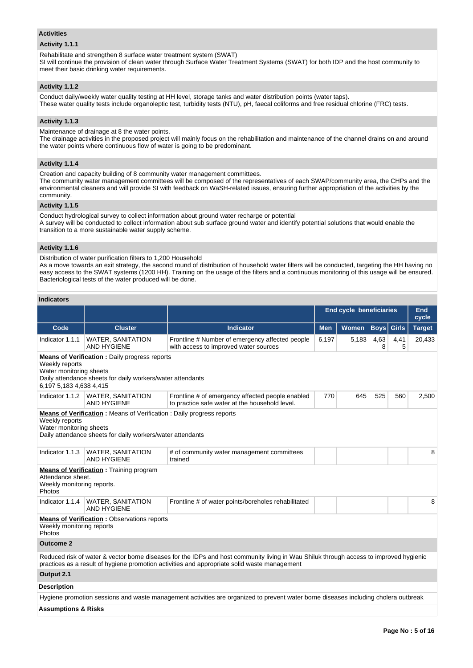#### **Activities**

## **Activity 1.1.1**

Rehabilitate and strengthen 8 surface water treatment system (SWAT)

SI will continue the provision of clean water through Surface Water Treatment Systems (SWAT) for both IDP and the host community to meet their basic drinking water requirements.

# **Activity 1.1.2**

Conduct daily/weekly water quality testing at HH level, storage tanks and water distribution points (water taps). These water quality tests include organoleptic test, turbidity tests (NTU), pH, faecal coliforms and free residual chlorine (FRC) tests.

# **Activity 1.1.3**

Maintenance of drainage at 8 the water points.

The drainage activities in the proposed project will mainly focus on the rehabilitation and maintenance of the channel drains on and around the water points where continuous flow of water is going to be predominant.

# **Activity 1.1.4**

Creation and capacity building of 8 community water management committees.

The community water management committees will be composed of the representatives of each SWAP/community area, the CHPs and the environmental cleaners and will provide SI with feedback on WaSH-related issues, ensuring further appropriation of the activities by the community.

# **Activity 1.1.5**

Conduct hydrological survey to collect information about ground water recharge or potential A survey will be conducted to collect information about sub surface ground water and identify potential solutions that would enable the transition to a more sustainable water supply scheme.

# **Activity 1.1.6**

Distribution of water purification filters to 1,200 Household

As a move towards an exit strategy, the second round of distribution of household water filters will be conducted, targeting the HH having no easy access to the SWAT systems (1200 HH). Training on the usage of the filters and a continuous monitoring of this usage will be ensured. Bacteriological tests of the water produced will be done.

# **Indicators**

|                                                                                                                                                                                            |                                                           |                                                                                                                                                                                                                                        |            | <b>End cycle beneficiaries</b> |             |              | <b>End</b><br>cycle |  |  |
|--------------------------------------------------------------------------------------------------------------------------------------------------------------------------------------------|-----------------------------------------------------------|----------------------------------------------------------------------------------------------------------------------------------------------------------------------------------------------------------------------------------------|------------|--------------------------------|-------------|--------------|---------------------|--|--|
| Code                                                                                                                                                                                       | <b>Cluster</b>                                            | <b>Indicator</b>                                                                                                                                                                                                                       | <b>Men</b> | Women                          | <b>Boys</b> | <b>Girls</b> | <b>Target</b>       |  |  |
| Indicator 1.1.1                                                                                                                                                                            | <b>WATER, SANITATION</b><br><b>AND HYGIENE</b>            | Frontline # Number of emergency affected people<br>with access to improved water sources                                                                                                                                               | 6,197      | 5,183                          | 4,63<br>8   | 4,41<br>5    | 20,433              |  |  |
| <b>Means of Verification:</b> Daily progress reports<br>Weekly reports<br>Water monitoring sheets<br>Daily attendance sheets for daily workers/water attendants<br>6,197 5,183 4,638 4,415 |                                                           |                                                                                                                                                                                                                                        |            |                                |             |              |                     |  |  |
|                                                                                                                                                                                            | Indicator 1.1.2   WATER, SANITATION<br><b>AND HYGIENE</b> | Frontline # of emergency affected people enabled<br>to practice safe water at the household level.                                                                                                                                     | 770        | 645                            | 525         | 560          | 2,500               |  |  |
| <b>Means of Verification:</b> Means of Verification: Daily progress reports<br>Weekly reports<br>Water monitoring sheets<br>Daily attendance sheets for daily workers/water attendants     |                                                           |                                                                                                                                                                                                                                        |            |                                |             |              |                     |  |  |
| Indicator 1.1.3                                                                                                                                                                            | <b>WATER, SANITATION</b><br><b>AND HYGIENE</b>            | # of community water management committees<br>trained                                                                                                                                                                                  |            |                                |             |              | 8                   |  |  |
| Attendance sheet.<br>Weekly monitoring reports.<br>Photos                                                                                                                                  | <b>Means of Verification: Training program</b>            |                                                                                                                                                                                                                                        |            |                                |             |              |                     |  |  |
| Indicator 1.1.4                                                                                                                                                                            | <b>WATER, SANITATION</b><br><b>AND HYGIENE</b>            | Frontline # of water points/boreholes rehabilitated                                                                                                                                                                                    |            |                                |             |              | 8                   |  |  |
| Weekly monitoring reports<br>Photos                                                                                                                                                        | <b>Means of Verification: Observations reports</b>        |                                                                                                                                                                                                                                        |            |                                |             |              |                     |  |  |
| <b>Outcome 2</b>                                                                                                                                                                           |                                                           |                                                                                                                                                                                                                                        |            |                                |             |              |                     |  |  |
|                                                                                                                                                                                            |                                                           | Reduced risk of water & vector borne diseases for the IDPs and host community living in Wau Shiluk through access to improved hygienic<br>practices as a result of hygiene promotion activities and appropriate solid waste management |            |                                |             |              |                     |  |  |
| Output 2.1                                                                                                                                                                                 |                                                           |                                                                                                                                                                                                                                        |            |                                |             |              |                     |  |  |
| <b>Description</b>                                                                                                                                                                         |                                                           |                                                                                                                                                                                                                                        |            |                                |             |              |                     |  |  |
|                                                                                                                                                                                            |                                                           | Hygiene promotion sessions and waste management activities are organized to prevent water borne diseases including cholera outbreak                                                                                                    |            |                                |             |              |                     |  |  |
| <b>Assumptions &amp; Risks</b>                                                                                                                                                             |                                                           |                                                                                                                                                                                                                                        |            |                                |             |              |                     |  |  |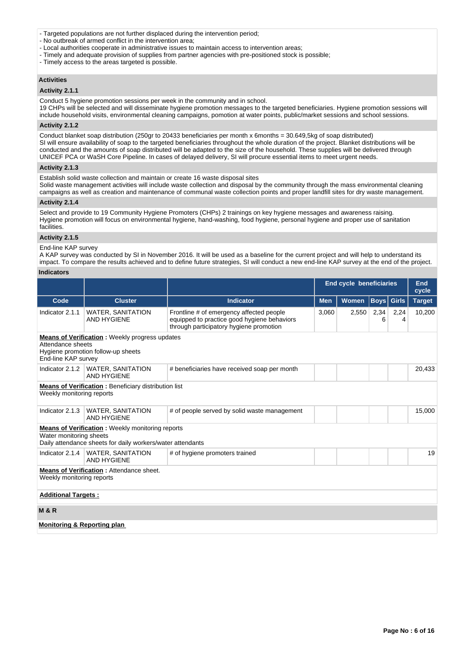- Targeted populations are not further displaced during the intervention period;
- No outbreak of armed conflict in the intervention area;
- Local authorities cooperate in administrative issues to maintain access to intervention areas;
- Timely and adequate provision of supplies from partner agencies with pre-positioned stock is possible;
- Timely access to the areas targeted is possible.

## **Activities**

## **Activity 2.1.1**

Conduct 5 hygiene promotion sessions per week in the community and in school.

19 CHPs will be selected and will disseminate hygiene promotion messages to the targeted beneficiaries. Hygiene promotion sessions will include household visits, environmental cleaning campaigns, pomotion at water points, public/market sessions and school sessions.

## **Activity 2.1.2**

Conduct blanket soap distribution (250gr to 20433 beneficiaries per month x 6months = 30.649,5kg of soap distributed) SI will ensure availability of soap to the targeted beneficiaries throughout the whole duration of the project. Blanket distributions will be conducted and the amounts of soap distributed will be adapted to the size of the household. These supplies will be delivered through UNICEF PCA or WaSH Core Pipeline. In cases of delayed delivery, SI will procure essential items to meet urgent needs.

#### **Activity 2.1.3**

Establish solid waste collection and maintain or create 16 waste disposal sites

Solid waste management activities will include waste collection and disposal by the community through the mass environmental cleaning campaigns as well as creation and maintenance of communal waste collection points and proper landfill sites for dry waste management.

## **Activity 2.1.4**

Select and provide to 19 Community Hygiene Promoters (CHPs) 2 trainings on key hygiene messages and awareness raising. Hygiene promotion will focus on environmental hygiene, hand-washing, food hygiene, personal hygiene and proper use of sanitation facilities

## **Activity 2.1.5**

## End-line KAP survey

A KAP survey was conducted by SI in November 2016. It will be used as a baseline for the current project and will help to understand its impact. To compare the results achieved and to define future strategies, SI will conduct a new end-line KAP survey at the end of the project.

# **Indicators**

|                                                                                                                                         |                                                                                                                       |                                                                                                                                    | <b>End cycle beneficiaries</b> |              |             |              | <b>End</b><br>cycle |  |
|-----------------------------------------------------------------------------------------------------------------------------------------|-----------------------------------------------------------------------------------------------------------------------|------------------------------------------------------------------------------------------------------------------------------------|--------------------------------|--------------|-------------|--------------|---------------------|--|
| Code                                                                                                                                    | <b>Cluster</b>                                                                                                        | <b>Indicator</b>                                                                                                                   | <b>Men</b>                     | <b>Women</b> | <b>Boys</b> | <b>Girls</b> | <b>Target</b>       |  |
| Indicator 2.1.1                                                                                                                         | <b>WATER, SANITATION</b><br><b>AND HYGIENE</b>                                                                        | Frontline # of emergency affected people<br>equipped to practice good hygiene behaviors<br>through participatory hygiene promotion | 3,060                          | 2,550        | 2,34<br>6   | 2,24<br>4    | 10,200              |  |
| <b>Means of Verification:</b> Weekly progress updates<br>Attendance sheets<br>Hygiene promotion follow-up sheets<br>End-line KAP survey |                                                                                                                       |                                                                                                                                    |                                |              |             |              |                     |  |
|                                                                                                                                         | Indicator 2.1.2   WATER, SANITATION<br><b>AND HYGIENE</b>                                                             | # beneficiaries have received soap per month                                                                                       |                                |              |             |              | 20,433              |  |
| Weekly monitoring reports                                                                                                               | <b>Means of Verification:</b> Beneficiary distribution list                                                           |                                                                                                                                    |                                |              |             |              |                     |  |
| Indicator 2.1.3                                                                                                                         | WATER, SANITATION<br><b>AND HYGIENE</b>                                                                               | # of people served by solid waste management                                                                                       |                                |              |             |              | 15,000              |  |
| Water monitoring sheets                                                                                                                 | <b>Means of Verification:</b> Weekly monitoring reports<br>Daily attendance sheets for daily workers/water attendants |                                                                                                                                    |                                |              |             |              |                     |  |
| Indicator 2.1.4                                                                                                                         | <b>WATER, SANITATION</b><br><b>AND HYGIENE</b>                                                                        | # of hygiene promoters trained                                                                                                     |                                |              |             |              | 19                  |  |
| Weekly monitoring reports                                                                                                               | <b>Means of Verification: Attendance sheet.</b>                                                                       |                                                                                                                                    |                                |              |             |              |                     |  |
| <b>Additional Targets:</b>                                                                                                              |                                                                                                                       |                                                                                                                                    |                                |              |             |              |                     |  |
| <b>M&amp;R</b>                                                                                                                          |                                                                                                                       |                                                                                                                                    |                                |              |             |              |                     |  |
| <b>Monitoring &amp; Reporting plan</b>                                                                                                  |                                                                                                                       |                                                                                                                                    |                                |              |             |              |                     |  |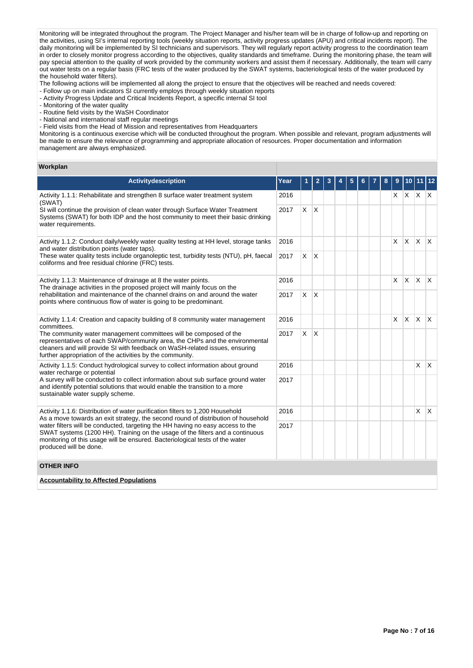Monitoring will be integrated throughout the program. The Project Manager and his/her team will be in charge of follow-up and reporting on the activities, using SI's internal reporting tools (weekly situation reports, activity progress updates (APU) and critical incidents report). The daily monitoring will be implemented by SI technicians and supervisors. They will regularly report activity progress to the coordination team in order to closely monitor progress according to the objectives, quality standards and timeframe. During the monitoring phase, the team will pay special attention to the quality of work provided by the community workers and assist them if necessary. Additionally, the team will carry out water tests on a regular basis (FRC tests of the water produced by the SWAT systems, bacteriological tests of the water produced by the household water filters).

The following actions will be implemented all along the project to ensure that the objectives will be reached and needs covered:

- Follow up on main indicators SI currently employs through weekly situation reports
- Activity Progress Update and Critical Incidents Report, a specific internal SI tool
- Monitoring of the water quality
- Routine field visits by the WaSH Coordinator
- National and international staff regular meetings
- Field visits from the Head of Mission and representatives from Headquarters

Monitoring is a continuous exercise which will be conducted throughout the program. When possible and relevant, program adjustments will be made to ensure the relevance of programming and appropriate allocation of resources. Proper documentation and information management are always emphasized.

#### **Workplan**

| <b>Activitydescription</b>                                                                                                                                                                                                                                                                   | Year |          | 2            | 3 | 5 |  | 8 | 9        | 10       |                 | 12           |
|----------------------------------------------------------------------------------------------------------------------------------------------------------------------------------------------------------------------------------------------------------------------------------------------|------|----------|--------------|---|---|--|---|----------|----------|-----------------|--------------|
| Activity 1.1.1: Rehabilitate and strengthen 8 surface water treatment system<br>(SWAT)                                                                                                                                                                                                       | 2016 |          |              |   |   |  |   |          |          | $X$ $X$ $X$ $X$ |              |
| SI will continue the provision of clean water through Surface Water Treatment<br>Systems (SWAT) for both IDP and the host community to meet their basic drinking<br>water requirements.                                                                                                      | 2017 | <b>X</b> | $\mathsf{X}$ |   |   |  |   |          |          |                 |              |
| Activity 1.1.2: Conduct daily/weekly water quality testing at HH level, storage tanks<br>and water distribution points (water taps).                                                                                                                                                         | 2016 |          |              |   |   |  |   | X        | ΙX.      | ΙX.             | $\mathsf{X}$ |
| These water quality tests include organoleptic test, turbidity tests (NTU), pH, faecal<br>coliforms and free residual chlorine (FRC) tests.                                                                                                                                                  | 2017 | <b>X</b> | $\mathsf{X}$ |   |   |  |   |          |          |                 |              |
| 2016<br>Activity 1.1.3: Maintenance of drainage at 8 the water points.<br>The drainage activities in the proposed project will mainly focus on the                                                                                                                                           |      |          |              |   |   |  |   | <b>X</b> | <b>X</b> | $\mathsf{X}$    | $\mathsf{X}$ |
| rehabilitation and maintenance of the channel drains on and around the water<br>points where continuous flow of water is going to be predominant.                                                                                                                                            | 2017 | X        | X            |   |   |  |   |          |          |                 |              |
| Activity 1.1.4: Creation and capacity building of 8 community water management<br>committees.                                                                                                                                                                                                |      |          |              |   |   |  |   | X        | <b>X</b> | ΙX.             | $\mathsf{X}$ |
| The community water management committees will be composed of the<br>representatives of each SWAP/community area, the CHPs and the environmental<br>cleaners and will provide SI with feedback on WaSH-related issues, ensuring<br>further appropriation of the activities by the community. | 2017 | X        | X            |   |   |  |   |          |          |                 |              |
| Activity 1.1.5: Conduct hydrological survey to collect information about ground<br>water recharge or potential                                                                                                                                                                               | 2016 |          |              |   |   |  |   |          |          | $\mathsf{x}$    | $\mathsf{X}$ |
| A survey will be conducted to collect information about sub surface ground water<br>and identify potential solutions that would enable the transition to a more<br>sustainable water supply scheme.                                                                                          | 2017 |          |              |   |   |  |   |          |          |                 |              |
| Activity 1.1.6: Distribution of water purification filters to 1,200 Household<br>As a move towards an exit strategy, the second round of distribution of household                                                                                                                           | 2016 |          |              |   |   |  |   |          |          | $\mathsf{x}$    | $\mathsf{X}$ |
| water filters will be conducted, targeting the HH having no easy access to the<br>2017<br>SWAT systems (1200 HH). Training on the usage of the filters and a continuous<br>monitoring of this usage will be ensured. Bacteriological tests of the water<br>produced will be done.            |      |          |              |   |   |  |   |          |          |                 |              |
| <b>OTHER INFO</b>                                                                                                                                                                                                                                                                            |      |          |              |   |   |  |   |          |          |                 |              |
| <b>Accountability to Affected Populations</b>                                                                                                                                                                                                                                                |      |          |              |   |   |  |   |          |          |                 |              |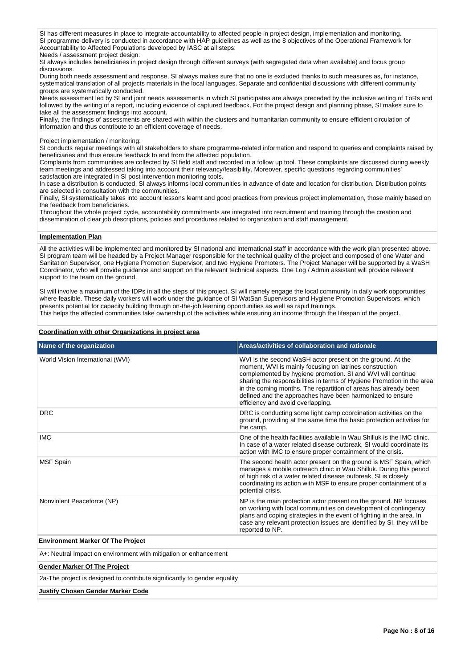SI has different measures in place to integrate accountability to affected people in project design, implementation and monitoring. SI programme delivery is conducted in accordance with HAP guidelines as well as the 8 objectives of the Operational Framework for Accountability to Affected Populations developed by IASC at all steps:

Needs / assessment project design:

SI always includes beneficiaries in project design through different surveys (with segregated data when available) and focus group discussions.

During both needs assessment and response, SI always makes sure that no one is excluded thanks to such measures as, for instance, systematical translation of all projects materials in the local languages. Separate and confidential discussions with different community groups are systematically conducted.

Needs assessment led by SI and joint needs assessments in which SI participates are always preceded by the inclusive writing of ToRs and followed by the writing of a report, including evidence of captured feedback. For the project design and planning phase, SI makes sure to take all the assessment findings into account.

Finally, the findings of assessments are shared with within the clusters and humanitarian community to ensure efficient circulation of information and thus contribute to an efficient coverage of needs.

## Project implementation / monitoring:

SI conducts regular meetings with all stakeholders to share programme-related information and respond to queries and complaints raised by beneficiaries and thus ensure feedback to and from the affected population.

Complaints from communities are collected by SI field staff and recorded in a follow up tool. These complaints are discussed during weekly team meetings and addressed taking into account their relevancy/feasibility. Moreover, specific questions regarding communities' satisfaction are integrated in SI post intervention monitoring tools.

In case a distribution is conducted, SI always informs local communities in advance of date and location for distribution. Distribution points are selected in consultation with the communities.

Finally, SI systematically takes into account lessons learnt and good practices from previous project implementation, those mainly based on the feedback from beneficiaries.

Throughout the whole project cycle, accountability commitments are integrated into recruitment and training through the creation and dissemination of clear job descriptions, policies and procedures related to organization and staff management.

## **Implementation Plan**

All the activities will be implemented and monitored by SI national and international staff in accordance with the work plan presented above. SI program team will be headed by a Project Manager responsible for the technical quality of the project and composed of one Water and Sanitation Supervisor, one Hygiene Promotion Supervisor, and two Hygiene Promoters. The Project Manager will be supported by a WaSH Coordinator, who will provide guidance and support on the relevant technical aspects. One Log / Admin assistant will provide relevant support to the team on the ground.

SI will involve a maximum of the IDPs in all the steps of this project. SI will namely engage the local community in daily work opportunities where feasible. These daily workers will work under the guidance of SI WatSan Supervisors and Hygiene Promotion Supervisors, which presents potential for capacity building through on-the-job learning opportunities as well as rapid trainings. This helps the affected communities take ownership of the activities while ensuring an income through the lifespan of the project.

## **Coordination with other Organizations in project area**

| Name of the organization                                                  | Areas/activities of collaboration and rationale                                                                                                                                                                                                                                                                                                                                                                                     |  |  |  |  |  |  |  |
|---------------------------------------------------------------------------|-------------------------------------------------------------------------------------------------------------------------------------------------------------------------------------------------------------------------------------------------------------------------------------------------------------------------------------------------------------------------------------------------------------------------------------|--|--|--|--|--|--|--|
| World Vision International (WVI)                                          | WVI is the second WaSH actor present on the ground. At the<br>moment, WVI is mainly focusing on latrines construction<br>complemented by hygiene promotion. SI and WVI will continue<br>sharing the responsibilities in terms of Hygiene Promotion in the area<br>in the coming months. The repartition of areas has already been<br>defined and the approaches have been harmonized to ensure<br>efficiency and avoid overlapping. |  |  |  |  |  |  |  |
| <b>DRC</b>                                                                | DRC is conducting some light camp coordination activities on the<br>ground, providing at the same time the basic protection activities for<br>the camp.                                                                                                                                                                                                                                                                             |  |  |  |  |  |  |  |
| <b>IMC</b>                                                                | One of the health facilities available in Wau Shilluk is the IMC clinic.<br>In case of a water related disease outbreak, SI would coordinate its<br>action with IMC to ensure proper containment of the crisis.                                                                                                                                                                                                                     |  |  |  |  |  |  |  |
| <b>MSF Spain</b>                                                          | The second health actor present on the ground is MSF Spain, which<br>manages a mobile outreach clinic in Wau Shilluk. During this period<br>of high risk of a water related disease outbreak, SI is closely<br>coordinating its action with MSF to ensure proper containment of a<br>potential crisis.                                                                                                                              |  |  |  |  |  |  |  |
| Nonviolent Peaceforce (NP)                                                | NP is the main protection actor present on the ground. NP focuses<br>on working with local communities on development of contingency<br>plans and coping strategies in the event of fighting in the area. In<br>case any relevant protection issues are identified by SI, they will be<br>reported to NP.                                                                                                                           |  |  |  |  |  |  |  |
| <b>Environment Marker Of The Project</b>                                  |                                                                                                                                                                                                                                                                                                                                                                                                                                     |  |  |  |  |  |  |  |
| A+: Neutral Impact on environment with mitigation or enhancement          |                                                                                                                                                                                                                                                                                                                                                                                                                                     |  |  |  |  |  |  |  |
| <b>Gender Marker Of The Project</b>                                       |                                                                                                                                                                                                                                                                                                                                                                                                                                     |  |  |  |  |  |  |  |
| 2a-The project is designed to contribute significantly to gender equality |                                                                                                                                                                                                                                                                                                                                                                                                                                     |  |  |  |  |  |  |  |

## **Justify Chosen Gender Marker Code**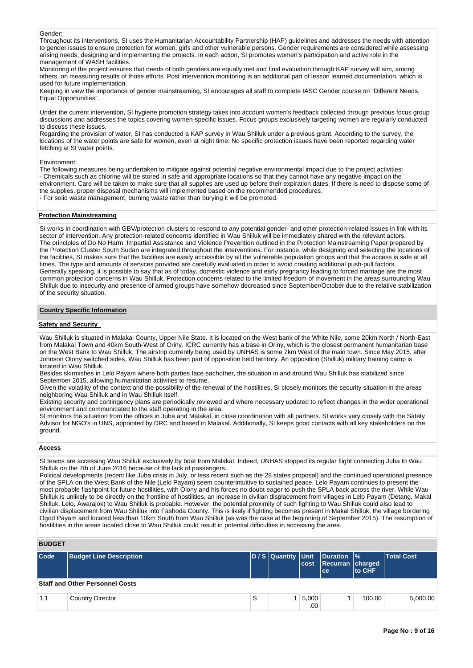#### Gender:

Throughout its interventions, SI uses the Humanitarian Accountability Partnership (HAP) guidelines and addresses the needs with attention to gender issues to ensure protection for women, girls and other vulnerable persons. Gender requirements are considered while assessing arising needs, designing and implementing the projects. In each action, SI promotes women's participation and active role in the management of WASH facilities.

Monitoring of the project ensures that needs of both genders are equally met and final evaluation through KAP survey will aim, among others, on measuring results of those efforts. Post intervention monitoring is an additional part of lesson learned documentation, which is used for future implementation.

Keeping in view the importance of gender mainstreaming, SI encourages all staff to complete IASC Gender course on "Different Needs, Equal Opportunities".

Under the current intervention, SI hygiene promotion strategy takes into account women's feedback collected through previous focus group discussions and addresses the topics covering women-specific issues. Focus groups exclusively targeting women are regularly conducted to discuss these issues.

Regarding the provision of water, SI has conducted a KAP survey in Wau Shilluk under a previous grant. According to the survey, the locations of the water points are safe for women, even at night time. No specific protection issues have been reported regarding water fetching at SI water points.

Environment:

The following measures being undertaken to mitigate against potential negative environmental impact due to the project activities: - Chemicals such as chlorine will be stored in safe and appropriate locations so that they cannot have any negative impact on the environment. Care will be taken to make sure that all supplies are used up before their expiration dates. If there is need to dispose some of the supplies, proper disposal mechanisms will implemented based on the recommended procedures.

- For solid waste management, burning waste rather than burying it will be promoted.

#### **Protection Mainstreaming**

SI works in coordination with GBV/protection clusters to respond to any potential gender- and other protection-related issues in link with its sector of intervention. Any protection-related concerns identified in Wau Shilluk will be immediately shared with the relevant actors. The principles of Do No Harm, Impartial Assistance and Violence Prevention outlined in the Protection Mainstreaming Paper prepared by the Protection Cluster South Sudan are integrated throughout the interventions. For instance, while designing and selecting the locations of the facilities, SI makes sure that the facilities are easily accessible by all the vulnerable population groups and that the access is safe at all times. The type and amounts of services provided are carefully evaluated in order to avoid creating additional push-pull factors. Generally speaking, it is possible to say that as of today, domestic violence and early pregnancy leading to forced marriage are the most common protection concerns in Wau Shilluk. Protection concerns related to the limited freedom of movement in the areas surrounding Wau Shilluk due to insecurity and presence of armed groups have somehow decreased since September/October due to the relative stabilization of the security situation.

## **Country Specific Information**

#### **Safety and Security**

Wau Shilluk is situated in Malakal County, Upper Nile State. It is located on the West bank of the White Nile, some 20km North / North-East from Malakal Town and 40km South-West of Oriny. ICRC currently has a base in Oriny, which is the closest permanent humanitarian base on the West Bank to Wau Shilluk. The airstrip currently being used by UNHAS is some 7km West of the main town. Since May 2015, after Johnson Olony switched sides, Wau Shilluk has been part of opposition held territory. An opposition (Shilluk) military training camp is located in Wau Shilluk.

Besides skirmishes in Lelo Payam where both parties face eachother, the situation in and around Wau Shilluk has stabilized since September 2015, allowing humanitarian activities to resume.

Given the volatility of the context and the possibility of the renewal of the hostilities, SI closely monitors the security situation in the areas neighboring Wau Shilluk and in Wau Shilluk itself.

Existing security and contingency plans are periodically reviewed and where necessary updated to reflect changes in the wider operational environment and communicated to the staff operating in the area.

SI monitors the situation from the offices in Juba and Malakal, in close coordination with all partners. SI works very closely with the Safety Advisor for NGO's in UNS, appointed by DRC and based in Malakal. Additionally, SI keeps good contacts with all key stakeholders on the ground.

#### **Access**

SI teams are accessing Wau Shilluk exclusively by boat from Malakal. Indeed, UNHAS stopped its regular flight connecting Juba to Wau Shilluk on the 7th of June 2016 because of the lack of passengers.

Political developments (recent like Juba crisis in July, or less recent such as the 28 states proposal) and the continued operational presence of the SPLA on the West Bank of the Nile (Lelo Payam) seem counterintuitive to sustained peace. Lelo Payam continues to present the most probable flashpoint for future hostilities, with Olony and his forces no doubt eager to push the SPLA back across the river. While Wau Shilluk is unlikely to be directly on the frontline of hostilities, an increase in civilian displacement from villages in Lelo Payam (Detang, Makal Shilluk, Lelo, Awarajok) to Wau Shilluk is probable. However, the potential proximity of such fighting to Wau Shilluk could also lead to civilian displacement from Wau Shilluk into Fashoda County. This is likely if fighting becomes present in Makal Shilluk, the village bordering Ogod Payam and located less than 10km South from Wau Shilluk (as was the case at the beginning of September 2015). The resumption of hostilities in the areas located close to Wau Shilluk could result in potential difficulties in accessing the area.

# **BUDGET**

| Code | <b>Budget Line Description</b>         |   | cost         | D/S Quantity Unit Duration %<br>Recurran charged<br>l ce i | <b>Ito CHF</b> | <b>Total Cost</b> |
|------|----------------------------------------|---|--------------|------------------------------------------------------------|----------------|-------------------|
|      | <b>Staff and Other Personnel Costs</b> |   |              |                                                            |                |                   |
| 1.1  | <b>Country Director</b>                | S | 5,000<br>.00 |                                                            | 100.00         | 5.000.00          |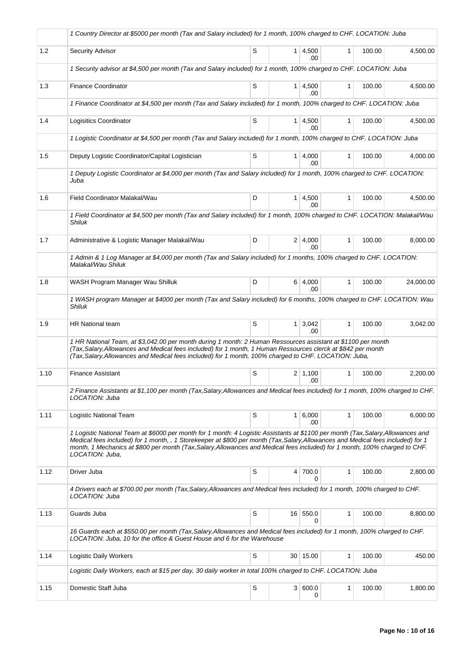|      | 1 Country Director at \$5000 per month (Tax and Salary included) for 1 month, 100% charged to CHF. LOCATION: Juba                                                                                                                                                                                                                                                                                                      |   |                 |                       |              |        |           |
|------|------------------------------------------------------------------------------------------------------------------------------------------------------------------------------------------------------------------------------------------------------------------------------------------------------------------------------------------------------------------------------------------------------------------------|---|-----------------|-----------------------|--------------|--------|-----------|
| 1.2  | Security Advisor                                                                                                                                                                                                                                                                                                                                                                                                       | S |                 | $1 \mid 4,500$<br>.00 | 1            | 100.00 | 4,500.00  |
|      | 1 Security advisor at \$4,500 per month (Tax and Salary included) for 1 month, 100% charged to CHF. LOCATION: Juba                                                                                                                                                                                                                                                                                                     |   |                 |                       |              |        |           |
| 1.3  | <b>Finance Coordinator</b>                                                                                                                                                                                                                                                                                                                                                                                             | S |                 | 1 4,500<br>.00.       | $\mathbf{1}$ | 100.00 | 4,500.00  |
|      | 1 Finance Coordinator at \$4,500 per month (Tax and Salary included) for 1 month, 100% charged to CHF. LOCATION: Juba                                                                                                                                                                                                                                                                                                  |   |                 |                       |              |        |           |
| 1.4  | Logisitics Coordinator                                                                                                                                                                                                                                                                                                                                                                                                 | S |                 | $1 \mid 4,500$<br>.00 | $\mathbf{1}$ | 100.00 | 4,500.00  |
|      | 1 Logistic Coordinator at \$4,500 per month (Tax and Salary included) for 1 month, 100% charged to CHF. LOCATION: Juba                                                                                                                                                                                                                                                                                                 |   |                 |                       |              |        |           |
| 1.5  | Deputy Logistic Coordinator/Capital Logistician                                                                                                                                                                                                                                                                                                                                                                        | S |                 | 1   4,000<br>.00      | $\mathbf{1}$ | 100.00 | 4,000.00  |
|      | 1 Deputy Logistic Coordinator at \$4,000 per month (Tax and Salary included) for 1 month, 100% charged to CHF. LOCATION:<br>Juba                                                                                                                                                                                                                                                                                       |   |                 |                       |              |        |           |
| 1.6  | Field Coordinator Malakal/Wau                                                                                                                                                                                                                                                                                                                                                                                          | D |                 | $1 \, 4,500$<br>.00.  | $\mathbf{1}$ | 100.00 | 4,500.00  |
|      | 1 Field Coordinator at \$4,500 per month (Tax and Salary included) for 1 month, 100% charged to CHF. LOCATION: Malakal/Wau<br><b>Shiluk</b>                                                                                                                                                                                                                                                                            |   |                 |                       |              |        |           |
| 1.7  | Administrative & Logistic Manager Malakal/Wau                                                                                                                                                                                                                                                                                                                                                                          | D |                 | 2 4,000<br>.00        | $\mathbf{1}$ | 100.00 | 8,000.00  |
|      | 1 Admin & 1 Log Manager at \$4,000 per month (Tax and Salary included) for 1 months, 100% charged to CHF. LOCATION:<br>Malakal/Wau Shiluk                                                                                                                                                                                                                                                                              |   |                 |                       |              |        |           |
| 1.8  | WASH Program Manager Wau Shilluk                                                                                                                                                                                                                                                                                                                                                                                       | D |                 | 6 4,000<br>.00        | $\mathbf{1}$ | 100.00 | 24,000.00 |
|      | 1 WASH program Manager at \$4000 per month (Tax and Salary included) for 6 months, 100% charged to CHF. LOCATION: Wau<br>Shiluk                                                                                                                                                                                                                                                                                        |   |                 |                       |              |        |           |
| 1.9  | <b>HR National team</b>                                                                                                                                                                                                                                                                                                                                                                                                | S | 1 <sup>1</sup>  | 3,042<br>.00          | $\mathbf{1}$ | 100.00 | 3,042.00  |
|      | 1 HR National Team, at \$3,042.00 per month during 1 month: 2 Human Ressources assistant at \$1100 per month<br>(Tax, Salary, Allowances and Medical fees included) for 1 month, 1 Human Ressources clerck at \$842 per month<br>(Tax, Salary, Allowances and Medical fees included) for 1 month, 100% charged to CHF. LOCATION: Juba,                                                                                 |   |                 |                       |              |        |           |
| 1.10 | <b>Finance Assistant</b>                                                                                                                                                                                                                                                                                                                                                                                               | S |                 | $2 \mid 1,100$<br>.00 | 1            | 100.00 | 2,200.00  |
|      | 2 Finance Assistants at \$1,100 per month (Tax, Salary, Allowances and Medical fees included) for 1 month, 100% charged to CHF.<br>LOCATION: Juba                                                                                                                                                                                                                                                                      |   |                 |                       |              |        |           |
| 1.11 | Logistic National Team                                                                                                                                                                                                                                                                                                                                                                                                 | S | 1 <sup>1</sup>  | 6,000<br>.00          | $\mathbf{1}$ | 100.00 | 6,000.00  |
|      | 1 Logistic National Team at \$6000 per month for 1 month: 4 Logistic Assistants at \$1100 per month (Tax, Salary, Allowances and<br>Medical fees included) for 1 month, , 1 Storekeeper at \$800 per month (Tax, Salary, Allowances and Medical fees included) for 1<br>month, 1 Mechanics at \$800 per month (Tax, Salary, Allowances and Medical fees included) for 1 month, 100% charged to CHF.<br>LOCATION: Juba, |   |                 |                       |              |        |           |
| 1.12 | Driver Juba                                                                                                                                                                                                                                                                                                                                                                                                            | S | 4               | 700.0<br>0            | $\mathbf{1}$ | 100.00 | 2,800.00  |
|      | 4 Drivers each at \$700.00 per month (Tax, Salary, Allowances and Medical fees included) for 1 month, 100% charged to CHF.<br>LOCATION: Juba                                                                                                                                                                                                                                                                           |   |                 |                       |              |        |           |
| 1.13 | Guards Juba                                                                                                                                                                                                                                                                                                                                                                                                            | S | 16 <sup>1</sup> | 550.0<br>0            | 1            | 100.00 | 8,800.00  |
|      | 16 Guards each at \$550.00 per month (Tax, Salary, Allowances and Medical fees included) for 1 month, 100% charged to CHF.<br>LOCATION: Juba, 10 for the office & Guest House and 6 for the Warehouse                                                                                                                                                                                                                  |   |                 |                       |              |        |           |
| 1.14 | Logistic Daily Workers                                                                                                                                                                                                                                                                                                                                                                                                 | S |                 | 30   15.00            | 1            | 100.00 | 450.00    |
|      | Logistic Daily Workers, each at \$15 per day, 30 daily worker in total 100% charged to CHF. LOCATION: Juba                                                                                                                                                                                                                                                                                                             |   |                 |                       |              |        |           |
| 1.15 | Domestic Staff Juba                                                                                                                                                                                                                                                                                                                                                                                                    | S |                 | 3   600.0<br>0        | 1            | 100.00 | 1,800.00  |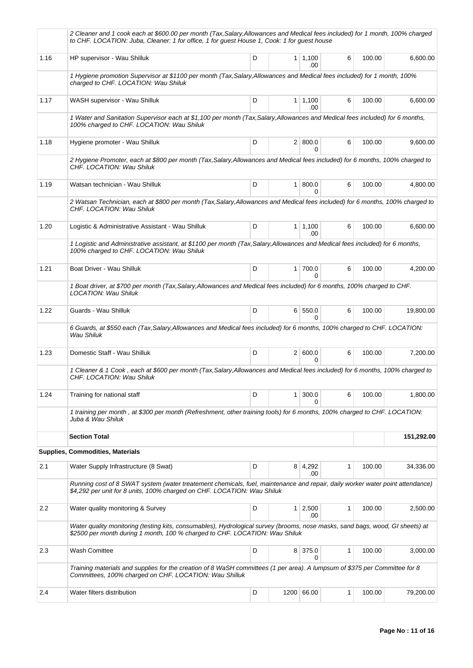|      | 2 Cleaner and 1 cook each at \$600.00 per month (Tax,Salary,Allowances and Medical fees included) for 1 month, 100% charged<br>to CHF. LOCATION: Juba, Cleaner: 1 for office, 1 for guest House 1, Cook: 1 for guest house |   |   |                         |   |        |            |  |  |  |  |
|------|----------------------------------------------------------------------------------------------------------------------------------------------------------------------------------------------------------------------------|---|---|-------------------------|---|--------|------------|--|--|--|--|
| 1.16 | HP supervisor - Wau Shilluk                                                                                                                                                                                                | D |   | $1 \mid 1,100$<br>.00   | 6 | 100.00 | 6,600.00   |  |  |  |  |
|      | 1 Hygiene promotion Supervisor at \$1100 per month (Tax, Salary, Allowances and Medical fees included) for 1 month, 100%<br>charged to CHF. LOCATION: Wau Shiluk                                                           |   |   |                         |   |        |            |  |  |  |  |
| 1.17 | WASH supervisor - Wau Shilluk                                                                                                                                                                                              | D |   | $1 \mid 1,100$<br>.00   | 6 | 100.00 | 6,600.00   |  |  |  |  |
|      | 1 Water and Sanitation Supervisor each at \$1,100 per month (Tax, Salary, Allowances and Medical fees included) for 6 months,<br>100% charged to CHF. LOCATION: Wau Shiluk                                                 |   |   |                         |   |        |            |  |  |  |  |
| 1.18 | Hygiene promoter - Wau Shilluk                                                                                                                                                                                             | D |   | 2   800.0<br>0          | 6 | 100.00 | 9,600.00   |  |  |  |  |
|      | 2 Hygiene Promoter, each at \$800 per month (Tax, Salary, Allowances and Medical fees included) for 6 months, 100% charged to<br>CHF. LOCATION: Wau Shiluk                                                                 |   |   |                         |   |        |            |  |  |  |  |
| 1.19 | Watsan technician - Wau Shilluk                                                                                                                                                                                            | D |   | 1 800.0<br>$\Omega$     | 6 | 100.00 | 4,800.00   |  |  |  |  |
|      | 2 Watsan Technician, each at \$800 per month (Tax, Salary, Allowances and Medical fees included) for 6 months, 100% charged to<br>CHF, LOCATION: Wau Shiluk                                                                |   |   |                         |   |        |            |  |  |  |  |
| 1.20 | Logistic & Administrative Assistant - Wau Shilluk                                                                                                                                                                          | D |   | $1 \mid 1,100$<br>.00.  | 6 | 100.00 | 6,600.00   |  |  |  |  |
|      | 1 Logistic and Administrative assistant, at \$1100 per month (Tax, Salary, Allowances and Medical fees included) for 6 months,<br>100% charged to CHF. LOCATION: Wau Shiluk                                                |   |   |                         |   |        |            |  |  |  |  |
| 1.21 | Boat Driver - Wau Shilluk                                                                                                                                                                                                  | D |   | 1 700.0<br>$\Omega$     | 6 | 100.00 | 4,200.00   |  |  |  |  |
|      | 1 Boat driver, at \$700 per month (Tax, Salary, Allowances and Medical fees included) for 6 months, 100% charged to CHF.<br>LOCATION: Wau Shiluk                                                                           |   |   |                         |   |        |            |  |  |  |  |
| 1.22 | Guards - Wau Shilluk                                                                                                                                                                                                       | D |   | 6 550.0<br><sup>0</sup> | 6 | 100.00 | 19,800.00  |  |  |  |  |
|      | 6 Guards, at \$550 each (Tax, Salary, Allowances and Medical fees included) for 6 months, 100% charged to CHF. LOCATION:<br>Wau Shiluk                                                                                     |   |   |                         |   |        |            |  |  |  |  |
| 1.23 | Domestic Staff - Wau Shilluk                                                                                                                                                                                               | D |   | 2   600.0<br>$\Omega$   | 6 | 100.00 | 7,200.00   |  |  |  |  |
|      | 1 Cleaner & 1 Cook, each at \$600 per month (Tax, Salary, Allowances and Medical fees included) for 6 months, 100% charged to<br>CHF. LOCATION: Wau Shiluk                                                                 |   |   |                         |   |        |            |  |  |  |  |
| 1.24 | Training for national staff                                                                                                                                                                                                | D | 1 | 300.0<br>0              | 6 | 100.00 | 1,800.00   |  |  |  |  |
|      | 1 training per month, at \$300 per month (Refreshment, other training tools) for 6 months, 100% charged to CHF. LOCATION:<br>Juba & Wau Shiluk                                                                             |   |   |                         |   |        |            |  |  |  |  |
|      | <b>Section Total</b>                                                                                                                                                                                                       |   |   |                         |   |        | 151,292.00 |  |  |  |  |
|      | <b>Supplies, Commodities, Materials</b>                                                                                                                                                                                    |   |   |                         |   |        |            |  |  |  |  |
| 2.1  | Water Supply Infrastructure (8 Swat)                                                                                                                                                                                       | D |   | 8 4,292<br>.00          | 1 | 100.00 | 34,336.00  |  |  |  |  |
|      | Running cost of 8 SWAT system (water treatement chemicals, fuel, maintenance and repair, daily worker water point attendance)<br>\$4,292 per unit for 8 units, 100% charged on CHF. LOCATION: Wau Shiluk                   |   |   |                         |   |        |            |  |  |  |  |
| 2.2  | Water quality monitoring & Survey                                                                                                                                                                                          | D |   | $1 \quad 2,500$<br>.00  | 1 | 100.00 | 2,500.00   |  |  |  |  |
|      | Water quality monitoring (testing kits, consumables), Hydrological survey (brooms, nose masks, sand bags, wood, GI sheets) at<br>\$2500 per month during 1 month, 100 % charged to CHF. LOCATION: Wau Shiluk               |   |   |                         |   |        |            |  |  |  |  |
| 2.3  | Wash Comittee                                                                                                                                                                                                              | D |   | 8 375.0<br>0            | 1 | 100.00 | 3,000.00   |  |  |  |  |
|      | Training materials and supplies for the creation of 8 WaSH committees (1 per area). A lumpsum of \$375 per Committee for 8<br>Committees, 100% charged on CHF. LOCATION: Wau Shilluk                                       |   |   |                         |   |        |            |  |  |  |  |
| 2.4  | Water filters distribution                                                                                                                                                                                                 | D |   | 1200 66.00              | 1 | 100.00 | 79,200.00  |  |  |  |  |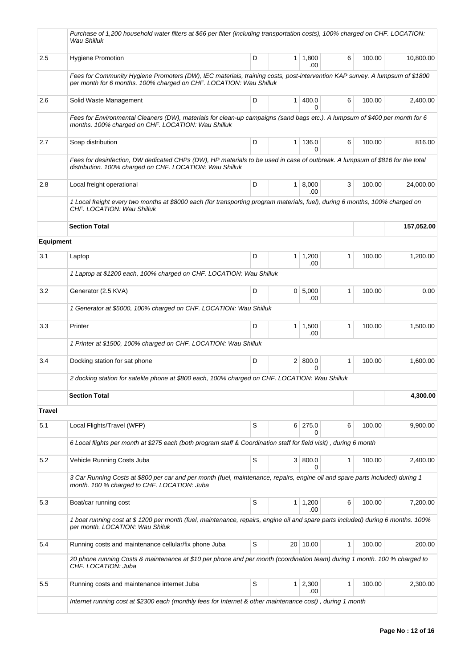|                  | Purchase of 1,200 household water filters at \$66 per filter (including transportation costs), 100% charged on CHF. LOCATION:<br>Wau Shilluk                                                      |   |                |                        |   |        |            |  |  |  |  |
|------------------|---------------------------------------------------------------------------------------------------------------------------------------------------------------------------------------------------|---|----------------|------------------------|---|--------|------------|--|--|--|--|
| 2.5              | <b>Hygiene Promotion</b>                                                                                                                                                                          | D | 1 <sup>1</sup> | 1,800<br>.00           | 6 | 100.00 | 10,800.00  |  |  |  |  |
|                  | Fees for Community Hygiene Promoters (DW), IEC materials, training costs, post-intervention KAP survey. A lumpsum of \$1800<br>per month for 6 months. 100% charged on CHF. LOCATION: Wau Shilluk |   |                |                        |   |        |            |  |  |  |  |
| 2.6              | Solid Waste Management                                                                                                                                                                            | D | 1 <sup>1</sup> | 400.0<br>0             | 6 | 100.00 | 2,400.00   |  |  |  |  |
|                  | Fees for Environmental Cleaners (DW), materials for clean-up campaigns (sand bags etc.). A lumpsum of \$400 per month for 6<br>months. 100% charged on CHF. LOCATION: Wau Shilluk                 |   |                |                        |   |        |            |  |  |  |  |
| 2.7              | Soap distribution                                                                                                                                                                                 | D | 1 <sup>1</sup> | 136.0<br>$\Omega$      | 6 | 100.00 | 816.00     |  |  |  |  |
|                  | Fees for desinfection, DW dedicated CHPs (DW), HP materials to be used in case of outbreak. A lumpsum of \$816 for the total<br>distribution. 100% charged on CHF. LOCATION: Wau Shilluk          |   |                |                        |   |        |            |  |  |  |  |
| 2.8              | Local freight operational                                                                                                                                                                         | D |                | 1   8,000<br>.00       | 3 | 100.00 | 24,000.00  |  |  |  |  |
|                  | 1 Local freight every two months at \$8000 each (for transporting program materials, fuel), during 6 months, 100% charged on<br>CHF. LOCATION: Wau Shilluk                                        |   |                |                        |   |        |            |  |  |  |  |
|                  | <b>Section Total</b>                                                                                                                                                                              |   |                |                        |   |        | 157,052.00 |  |  |  |  |
| <b>Equipment</b> |                                                                                                                                                                                                   |   |                |                        |   |        |            |  |  |  |  |
| 3.1              | Laptop                                                                                                                                                                                            | D |                | $1 \mid 1,200$<br>.00  | 1 | 100.00 | 1,200.00   |  |  |  |  |
|                  | 1 Laptop at \$1200 each, 100% charged on CHF. LOCATION: Wau Shilluk                                                                                                                               |   |                |                        |   |        |            |  |  |  |  |
| 3.2              | Generator (2.5 KVA)                                                                                                                                                                               | D |                | 0   5,000<br>.00       | 1 | 100.00 | 0.00       |  |  |  |  |
|                  | 1 Generator at \$5000, 100% charged on CHF. LOCATION: Wau Shilluk                                                                                                                                 |   |                |                        |   |        |            |  |  |  |  |
| 3.3              | Printer                                                                                                                                                                                           | D |                | $1 \mid 1,500$<br>.00  | 1 | 100.00 | 1,500.00   |  |  |  |  |
|                  | 1 Printer at \$1500, 100% charged on CHF. LOCATION: Wau Shilluk                                                                                                                                   |   |                |                        |   |        |            |  |  |  |  |
| 3.4              | Docking station for sat phone                                                                                                                                                                     | D |                | 2   800.0<br>$\Omega$  | 1 | 100.00 | 1,600.00   |  |  |  |  |
|                  | 2 docking station for satelite phone at \$800 each, 100% charged on CHF. LOCATION: Wau Shilluk                                                                                                    |   |                |                        |   |        |            |  |  |  |  |
|                  | <b>Section Total</b>                                                                                                                                                                              |   |                |                        |   |        | 4,300.00   |  |  |  |  |
| <b>Travel</b>    |                                                                                                                                                                                                   |   |                |                        |   |        |            |  |  |  |  |
| 5.1              | Local Flights/Travel (WFP)                                                                                                                                                                        | S |                | 6 275.0<br>0           | 6 | 100.00 | 9,900.00   |  |  |  |  |
|                  | 6 Local flights per month at \$275 each (both program staff & Coordination staff for field visit), during 6 month                                                                                 |   |                |                        |   |        |            |  |  |  |  |
| 5.2              | Vehicle Running Costs Juba                                                                                                                                                                        | S |                | 3   800.0<br>$\Omega$  | 1 | 100.00 | 2,400.00   |  |  |  |  |
|                  | 3 Car Running Costs at \$800 per car and per month (fuel, maintenance, repairs, engine oil and spare parts included) during 1<br>month. 100 % charged to CHF. LOCATION: Juba                      |   |                |                        |   |        |            |  |  |  |  |
| 5.3              | Boat/car running cost                                                                                                                                                                             | S | 1 <sup>1</sup> | 1,200<br>.00           | 6 | 100.00 | 7,200.00   |  |  |  |  |
|                  | 1 boat running cost at \$1200 per month (fuel, maintenance, repairs, engine oil and spare parts included) during 6 months. 100%<br>per month. LOCATION: Wau Shiluk                                |   |                |                        |   |        |            |  |  |  |  |
| 5.4              | Running costs and maintenance cellular/fix phone Juba                                                                                                                                             | S |                | 20 10.00               | 1 | 100.00 | 200.00     |  |  |  |  |
|                  | 20 phone running Costs & maintenance at \$10 per phone and per month (coordination team) during 1 month. 100 % charged to<br>CHF. LOCATION: Juba                                                  |   |                |                        |   |        |            |  |  |  |  |
| $5.5\,$          | Running costs and maintenance internet Juba                                                                                                                                                       | S |                | $1 \quad 2,300$<br>.00 | 1 | 100.00 | 2,300.00   |  |  |  |  |
|                  | Internet running cost at \$2300 each (monthly fees for Internet & other maintenance cost), during 1 month                                                                                         |   |                |                        |   |        |            |  |  |  |  |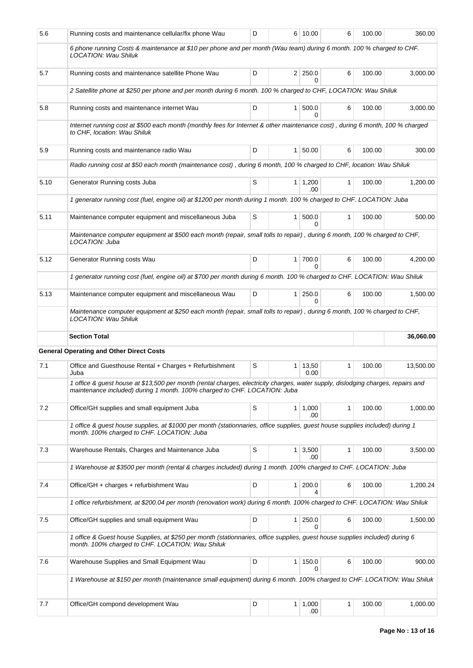| 5.6  | Running costs and maintenance cellular/fix phone Wau                                                                                                                                                          | D                                                                                                                         |                | 6 10.00        | 6            | 100.00 | 360.00    |  |  |  |
|------|---------------------------------------------------------------------------------------------------------------------------------------------------------------------------------------------------------------|---------------------------------------------------------------------------------------------------------------------------|----------------|----------------|--------------|--------|-----------|--|--|--|
|      | 6 phone running Costs & maintenance at \$10 per phone and per month (Wau team) during 6 month. 100 % charged to CHF.<br>LOCATION: Wau Shiluk                                                                  |                                                                                                                           |                |                |              |        |           |  |  |  |
| 5.7  | Running costs and maintenance satellite Phone Wau                                                                                                                                                             | D                                                                                                                         |                | $2 \mid 250.0$ | 6            | 100.00 | 3,000.00  |  |  |  |
|      | 2 Satellite phone at \$250 per phone and per month during 6 month. 100 % charged to CHF, LOCATION: Wau Shiluk                                                                                                 |                                                                                                                           |                |                |              |        |           |  |  |  |
| 5.8  | Running costs and maintenance internet Wau                                                                                                                                                                    | D                                                                                                                         |                | 1   500.0<br>0 | 6            | 100.00 | 3,000.00  |  |  |  |
|      | Internet running cost at \$500 each month (monthly fees for Internet & other maintenance cost), during 6 month, 100 % charged<br>to CHF, location: Wau Shiluk                                                 |                                                                                                                           |                |                |              |        |           |  |  |  |
| 5.9  | Running costs and maintenance radio Wau                                                                                                                                                                       | D                                                                                                                         | 1 <sup>1</sup> | 50.00          | 6            | 100.00 | 300.00    |  |  |  |
|      | Radio running cost at \$50 each month (maintenance cost), during 6 month, 100 % charged to CHF, location: Wau Shiluk                                                                                          |                                                                                                                           |                |                |              |        |           |  |  |  |
| 5.10 | Generator Running costs Juba                                                                                                                                                                                  | S                                                                                                                         | 1              | 1,200<br>.00.  | 1            | 100.00 | 1,200.00  |  |  |  |
|      | 1 generator running cost (fuel, engine oil) at \$1200 per month during 1 month. 100 % charged to CHF. LOCATION: Juba                                                                                          |                                                                                                                           |                |                |              |        |           |  |  |  |
| 5.11 | Maintenance computer equipment and miscellaneous Juba                                                                                                                                                         | S                                                                                                                         | 1 <sup>1</sup> | 500.0          | $\mathbf{1}$ | 100.00 | 500.00    |  |  |  |
|      | Maintenance computer equipment at \$500 each month (repair, small tolls to repair), during 6 month, 100 % charged to CHF,<br>LOCATION: Juba                                                                   |                                                                                                                           |                |                |              |        |           |  |  |  |
| 5.12 | Generator Running costs Wau                                                                                                                                                                                   | D                                                                                                                         | 1              | 700.0          | 6            | 100.00 | 4,200.00  |  |  |  |
|      | 1 generator running cost (fuel, engine oil) at \$700 per month during 6 month. 100 % charged to CHF. LOCATION: Wau Shiluk                                                                                     |                                                                                                                           |                |                |              |        |           |  |  |  |
| 5.13 | Maintenance computer equipment and miscellaneous Wau                                                                                                                                                          | D                                                                                                                         | $\mathbf{1}$   | 250.0<br>U     | 6            | 100.00 | 1,500.00  |  |  |  |
|      |                                                                                                                                                                                                               | Maintenance computer equipment at \$250 each month (repair, small tolls to repair), during 6 month, 100 % charged to CHF, |                |                |              |        |           |  |  |  |
|      | <b>LOCATION: Wau Shiluk</b>                                                                                                                                                                                   |                                                                                                                           |                |                |              |        |           |  |  |  |
|      | <b>Section Total</b>                                                                                                                                                                                          |                                                                                                                           |                |                |              |        | 36,060.00 |  |  |  |
|      | <b>General Operating and Other Direct Costs</b>                                                                                                                                                               |                                                                                                                           |                |                |              |        |           |  |  |  |
| 7.1  | Office and Guesthouse Rental + Charges + Refurbishment<br>Juba                                                                                                                                                | S                                                                                                                         | 1              | 13,50<br>0.00  | $\mathbf{1}$ | 100.00 | 13,500.00 |  |  |  |
|      | 1 office & guest house at \$13,500 per month (rental charges, electricity charges, water supply, dislodging charges, repairs and<br>maintenance included) during 1 month. 100% charged to CHF. LOCATION: Juba |                                                                                                                           |                |                |              |        |           |  |  |  |
| 7.2  | Office/GH supplies and small equipment Juba                                                                                                                                                                   | S                                                                                                                         | 1              | 1,000<br>.00   | 1            | 100.00 | 1,000.00  |  |  |  |
|      | 1 office & guest house supplies, at \$1000 per month (stationnaries, office supplies, guest house supplies included) during 1<br>month. 100% charged to CHF. LOCATION: Juba                                   |                                                                                                                           |                |                |              |        |           |  |  |  |
| 7.3  | Warehouse Rentals, Charges and Maintenance Juba                                                                                                                                                               | S                                                                                                                         | 1 <sup>1</sup> | 3,500<br>.00   | 1            | 100.00 | 3,500.00  |  |  |  |
|      | 1 Warehouse at \$3500 per month (rental & charges included) during 1 month. 100% charged to CHF. LOCATION: Juba                                                                                               |                                                                                                                           |                |                |              |        |           |  |  |  |
| 7.4  | Office/GH + charges + refurbishment Wau                                                                                                                                                                       | D                                                                                                                         | $\mathbf{1}$   | 200.0<br>4     | 6            | 100.00 | 1,200.24  |  |  |  |
|      | 1 office refurbishment, at \$200.04 per month (renovation work) during 6 month. 100% charged to CHF. LOCATION: Wau Shiluk                                                                                     |                                                                                                                           |                |                |              |        |           |  |  |  |
| 7.5  | Office/GH supplies and small equipment Wau                                                                                                                                                                    | D                                                                                                                         | $\mathbf{1}$   | 250.0<br>0     | 6            | 100.00 | 1,500.00  |  |  |  |
|      | 1 office & Guest house Supplies, at \$250 per month (stationnaries, office supplies, guest house supplies included) during 6<br>month. 100% charged to CHF. LOCATION: Wau Shiluk                              |                                                                                                                           |                |                |              |        |           |  |  |  |
| 7.6  | Warehouse Supplies and Small Equipment Wau                                                                                                                                                                    | D                                                                                                                         | 1 <sup>1</sup> | 150.0<br>0     | 6            | 100.00 | 900.00    |  |  |  |
|      | 1 Warehouse at \$150 per month (maintenance small equipment) during 6 month. 100% charged to CHF. LOCATION: Wau Shiluk                                                                                        |                                                                                                                           |                |                |              |        |           |  |  |  |